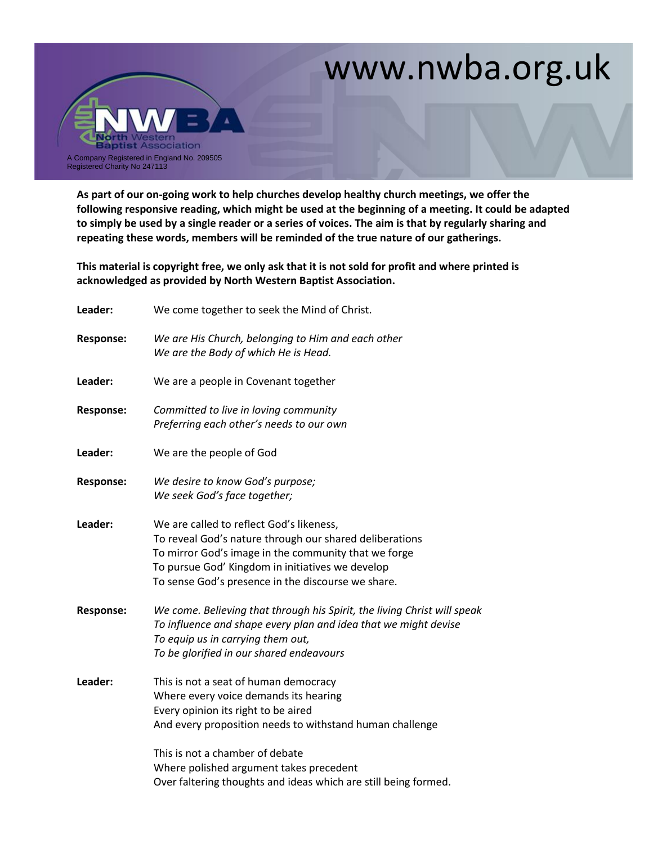## www.nwba.org.uk



**As part of our on-going work to help churches develop healthy church meetings, we offer the following responsive reading, which might be used at the beginning of a meeting. It could be adapted to simply be used by a single reader or a series of voices. The aim is that by regularly sharing and repeating these words, members will be reminded of the true nature of our gatherings.**

**This material is copyright free, we only ask that it is not sold for profit and where printed is acknowledged as provided by North Western Baptist Association.** 

| Leader:          | We come together to seek the Mind of Christ.                                                                                                                                                                                                                          |
|------------------|-----------------------------------------------------------------------------------------------------------------------------------------------------------------------------------------------------------------------------------------------------------------------|
| <b>Response:</b> | We are His Church, belonging to Him and each other<br>We are the Body of which He is Head.                                                                                                                                                                            |
| Leader:          | We are a people in Covenant together                                                                                                                                                                                                                                  |
| <b>Response:</b> | Committed to live in loving community<br>Preferring each other's needs to our own                                                                                                                                                                                     |
| Leader:          | We are the people of God                                                                                                                                                                                                                                              |
| <b>Response:</b> | We desire to know God's purpose;<br>We seek God's face together;                                                                                                                                                                                                      |
| Leader:          | We are called to reflect God's likeness,<br>To reveal God's nature through our shared deliberations<br>To mirror God's image in the community that we forge<br>To pursue God' Kingdom in initiatives we develop<br>To sense God's presence in the discourse we share. |
| <b>Response:</b> | We come. Believing that through his Spirit, the living Christ will speak<br>To influence and shape every plan and idea that we might devise<br>To equip us in carrying them out,<br>To be glorified in our shared endeavours                                          |
| Leader:          | This is not a seat of human democracy<br>Where every voice demands its hearing<br>Every opinion its right to be aired<br>And every proposition needs to withstand human challenge<br>This is not a chamber of debate<br>Where polished argument takes precedent       |
|                  | Over faltering thoughts and ideas which are still being formed.                                                                                                                                                                                                       |